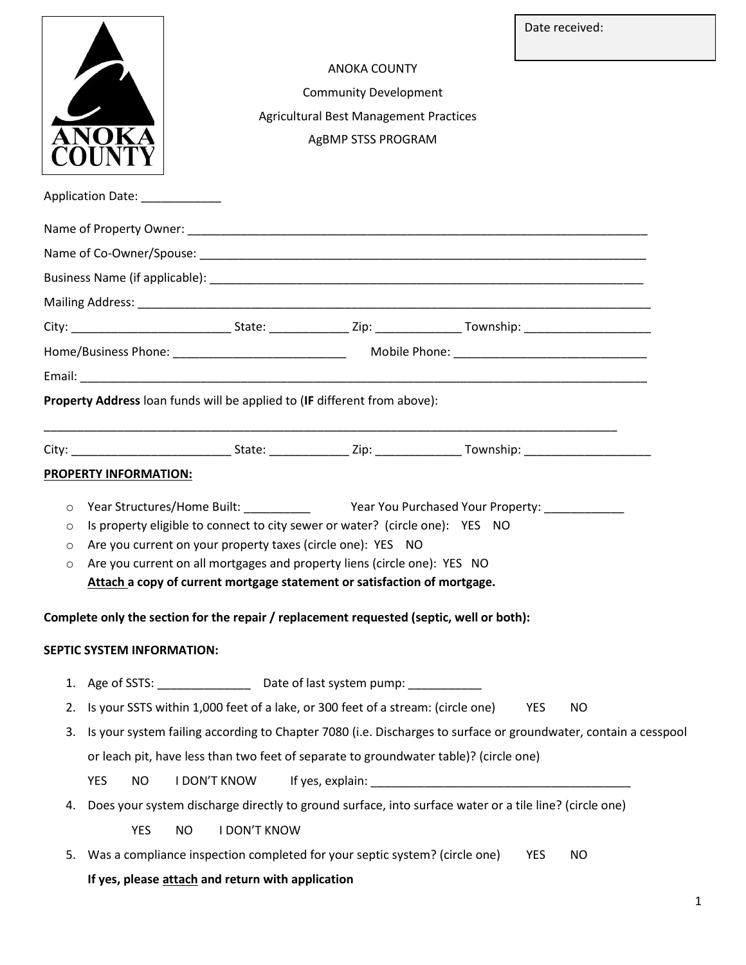|                                                                                          |                                                                                                                                             |                                                                           |                     |                                                                                 | Date received:          |  |
|------------------------------------------------------------------------------------------|---------------------------------------------------------------------------------------------------------------------------------------------|---------------------------------------------------------------------------|---------------------|---------------------------------------------------------------------------------|-------------------------|--|
|                                                                                          |                                                                                                                                             |                                                                           | <b>ANOKA COUNTY</b> |                                                                                 |                         |  |
| <b>Community Development</b>                                                             |                                                                                                                                             |                                                                           |                     |                                                                                 |                         |  |
| <b>Agricultural Best Management Practices</b>                                            |                                                                                                                                             |                                                                           |                     |                                                                                 |                         |  |
| AgBMP STSS PROGRAM                                                                       |                                                                                                                                             |                                                                           |                     |                                                                                 |                         |  |
|                                                                                          |                                                                                                                                             |                                                                           |                     |                                                                                 |                         |  |
| Application Date: _____________                                                          |                                                                                                                                             |                                                                           |                     |                                                                                 |                         |  |
|                                                                                          |                                                                                                                                             |                                                                           |                     |                                                                                 |                         |  |
|                                                                                          |                                                                                                                                             |                                                                           |                     |                                                                                 |                         |  |
|                                                                                          |                                                                                                                                             |                                                                           |                     |                                                                                 |                         |  |
|                                                                                          |                                                                                                                                             |                                                                           |                     |                                                                                 |                         |  |
|                                                                                          |                                                                                                                                             |                                                                           |                     |                                                                                 |                         |  |
|                                                                                          |                                                                                                                                             |                                                                           |                     |                                                                                 |                         |  |
|                                                                                          |                                                                                                                                             |                                                                           |                     |                                                                                 |                         |  |
| Property Address loan funds will be applied to (IF different from above):                |                                                                                                                                             |                                                                           |                     |                                                                                 |                         |  |
|                                                                                          |                                                                                                                                             |                                                                           |                     |                                                                                 |                         |  |
|                                                                                          |                                                                                                                                             |                                                                           |                     |                                                                                 |                         |  |
|                                                                                          | <b>PROPERTY INFORMATION:</b>                                                                                                                |                                                                           |                     |                                                                                 |                         |  |
| $\circ$                                                                                  |                                                                                                                                             |                                                                           |                     |                                                                                 |                         |  |
| $\circ$<br>O                                                                             | Is property eligible to connect to city sewer or water? (circle one): YES NO<br>Are you current on your property taxes (circle one): YES NO |                                                                           |                     |                                                                                 |                         |  |
| $\circ$                                                                                  | Are you current on all mortgages and property liens (circle one): YES NO                                                                    |                                                                           |                     |                                                                                 |                         |  |
| Attach a copy of current mortgage statement or satisfaction of mortgage.                 |                                                                                                                                             |                                                                           |                     |                                                                                 |                         |  |
| Complete only the section for the repair / replacement requested (septic, well or both): |                                                                                                                                             |                                                                           |                     |                                                                                 |                         |  |
|                                                                                          |                                                                                                                                             |                                                                           |                     |                                                                                 |                         |  |
|                                                                                          | SEPTIC SYSTEM INFORMATION:                                                                                                                  |                                                                           |                     |                                                                                 |                         |  |
|                                                                                          |                                                                                                                                             | 1. Age of SSTS: __________________ Date of last system pump: ____________ |                     |                                                                                 |                         |  |
| 2.                                                                                       |                                                                                                                                             |                                                                           |                     | Is your SSTS within 1,000 feet of a lake, or 300 feet of a stream: (circle one) | <b>YES</b><br><b>NO</b> |  |
| 3.                                                                                       | Is your system failing according to Chapter 7080 (i.e. Discharges to surface or groundwater, contain a cesspool                             |                                                                           |                     |                                                                                 |                         |  |
|                                                                                          | or leach pit, have less than two feet of separate to groundwater table)? (circle one)                                                       |                                                                           |                     |                                                                                 |                         |  |
|                                                                                          | <b>YES</b><br><b>NO</b>                                                                                                                     | <b>I DON'T KNOW</b>                                                       |                     |                                                                                 |                         |  |
| 4.                                                                                       | Does your system discharge directly to ground surface, into surface water or a tile line? (circle one)                                      |                                                                           |                     |                                                                                 |                         |  |
|                                                                                          | <b>YES</b>                                                                                                                                  | <b>I DON'T KNOW</b><br><b>NO</b>                                          |                     |                                                                                 |                         |  |
| 5.                                                                                       |                                                                                                                                             |                                                                           |                     | Was a compliance inspection completed for your septic system? (circle one)      | YES<br>NO.              |  |
|                                                                                          | If yes, please attach and return with application                                                                                           |                                                                           |                     |                                                                                 |                         |  |
|                                                                                          |                                                                                                                                             |                                                                           |                     |                                                                                 |                         |  |